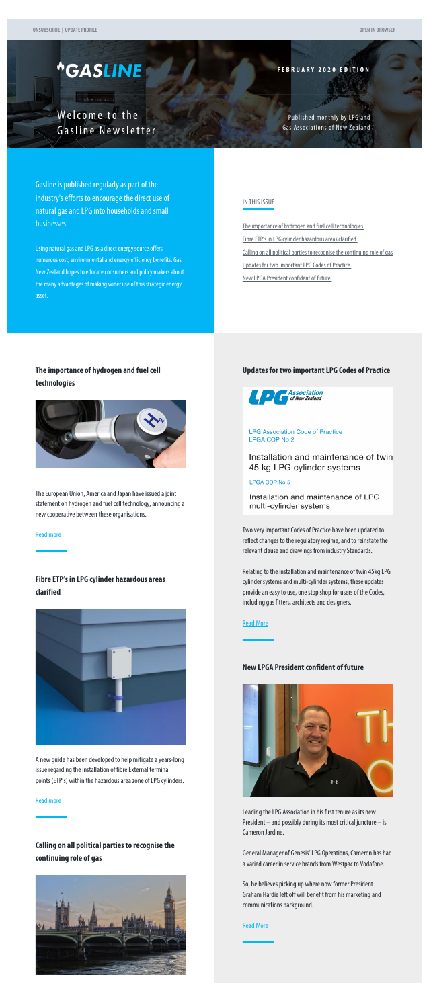# <span id="page-0-0"></span>*<u>\*GASLINE</u>*

**Comme** 

**FEBRUARY 2020 EDITION**

Welcome to the Gasline Newsletter

Published monthly by LPG and Gas Associations of New Zealand

Gasline is published regularly as part of the industry's efforts to encourage the direct use of natural gas and LPG into households and small businesses.

Using natural gas and LPG as a direct energy source offers numerous cost, environmental and energy efficiency benefits. Gas New Zealand hopes to educate consumers and policy makers about the many advantages of making wider use of this strategic energy asset.

# IN THIS ISSUE

[The importance of hydrogen and fuel cell technologies](#page-0-0) [Fibre ETP's in LPG cylinder hazardous areas clarified](#page-0-0) [Calling on all political parties to recognise the continuing role of gas](#page-0-0) [Updates for two important LPG Codes of Practice](#page-0-0) [New LPGA President confident of future](#page-0-1)

# **The importance of hydrogen and fuel cell technologies**



The European Union, America and Japan have issued a joint statement on hydrogen and fuel cell technology, announcing a new cooperative between these organisations.

#### [Read more](http://www.gasnz.org.nz/uploads/Send-outs-2020/February2020/story-01.php)

# **Fibre ETP's in LPG cylinder hazardous areas clarified**

<span id="page-0-1"></span>

A new guide has been developed to help mitigate a years-long issue regarding the installation of fibre External terminal points (ETP's) within the hazardous area zone of LPG cylinders.

### [Read more](http://www.gasnz.org.nz/uploads/Send-outs-2020/February2020/story-02.php)

# **Calling on all political parties to recognise the continuing role of gas**



## **Updates for two important LPG Codes of Practice**



#### **LPG Association Code of Practice** LPGA COP No 2

Installation and maintenance of twin 45 kg LPG cylinder systems

# LPGA COP No 5

Installation and maintenance of LPG multi-cylinder systems

Two very important Codes of Practice have been updated to reflect changes to the regulatory regime, and to reinstate the relevant clause and drawings from industry Standards.

Relating to the installation and maintenance of twin 45kg LPG cylinder systems and multi-cylinder systems, these updates provide an easy to use, one stop shop for users of the Codes, including gas fitters, architects and designers.

#### [Read More](http://www.gasnz.org.nz/uploads/Send-outs-2020/February2020/story-04.php)

# **New LPGA President confident of future**



Leading the LPG Association in his first tenure as its new President – and possibly during its most critical juncture – is Cameron Jardine.

General Manager of Genesis' LPG Operations, Cameron has had a varied career in service brands from Westpac to Vodafone.

So, he believes picking up where now former President Graham Hardie left off will benefit from his marketing and communications background.

### [Read More](http://www.gasnz.org.nz/uploads/Send-outs-2020/February2020/story-05.php)